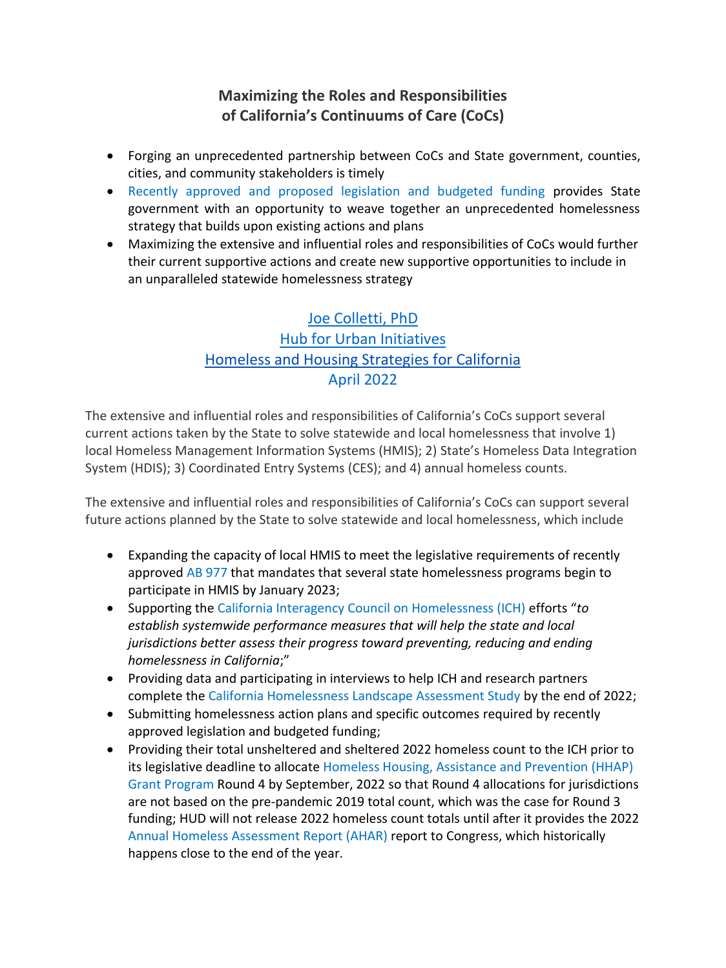# **Maximizing the Roles and Responsibilities of California's Continuums of Care (CoCs)**

- Forging an unprecedented partnership between CoCs and State government, counties, cities, and community stakeholders is timely
- Recently approved and proposed legislation and budgeted funding provides State government with an opportunity to weave together an unprecedented homelessness strategy that builds upon existing actions and plans
- Maximizing the extensive and influential roles and responsibilities of CoCs would further their current supportive actions and create new supportive opportunities to include in an unparalleled statewide homelessness strategy

# [Joe Colletti, PhD](http://r20.rs6.net/tn.jsp?t=5cydtlabb.0.0.fjlid7cab.0&id=preview&r=3&p=https%3A%2F%2Fwww.joecolletti.com%2F) [Hub for Urban Initiatives](http://r20.rs6.net/tn.jsp?t=5cydtlabb.0.0.fjlid7cab.0&id=preview&r=3&p=https%3A%2F%2Fwww.urban-initiatives.org%2F) [Homeless and Housing Strategies for California](http://r20.rs6.net/tn.jsp?t=5cydtlabb.0.0.fjlid7cab.0&id=preview&r=3&p=https%3A%2F%2Fhomelessstrategy.com%2F) April 2022

The extensive and influential roles and responsibilities of California's CoCs support several current actions taken by the State to solve statewide and local homelessness that involve 1) local Homeless Management Information Systems (HMIS); 2) State's Homeless Data Integration System (HDIS); 3) Coordinated Entry Systems (CES); and 4) annual homeless counts.

The extensive and influential roles and responsibilities of California's CoCs can support several future actions planned by the State to solve statewide and local homelessness, which include

- Expanding the capacity of local HMIS to meet the legislative requirements of recently approved AB 977 that mandates that several state homelessness programs begin to participate in HMIS by January 2023;
- Supporting the California Interagency Council on Homelessness (ICH) efforts "*to establish systemwide performance measures that will help the state and local jurisdictions better assess their progress toward preventing, reducing and ending homelessness in California*;"
- Providing data and participating in interviews to help ICH and research partners complete the California Homelessness Landscape Assessment Study by the end of 2022;
- Submitting homelessness action plans and specific outcomes required by recently approved legislation and budgeted funding;
- Providing their total unsheltered and sheltered 2022 homeless count to the ICH prior to its legislative deadline to allocate Homeless Housing, Assistance and Prevention (HHAP) Grant Program Round 4 by September, 2022 so that Round 4 allocations for jurisdictions are not based on the pre-pandemic 2019 total count, which was the case for Round 3 funding; HUD will not release 2022 homeless count totals until after it provides the 2022 Annual Homeless Assessment Report (AHAR) report to Congress, which historically happens close to the end of the year.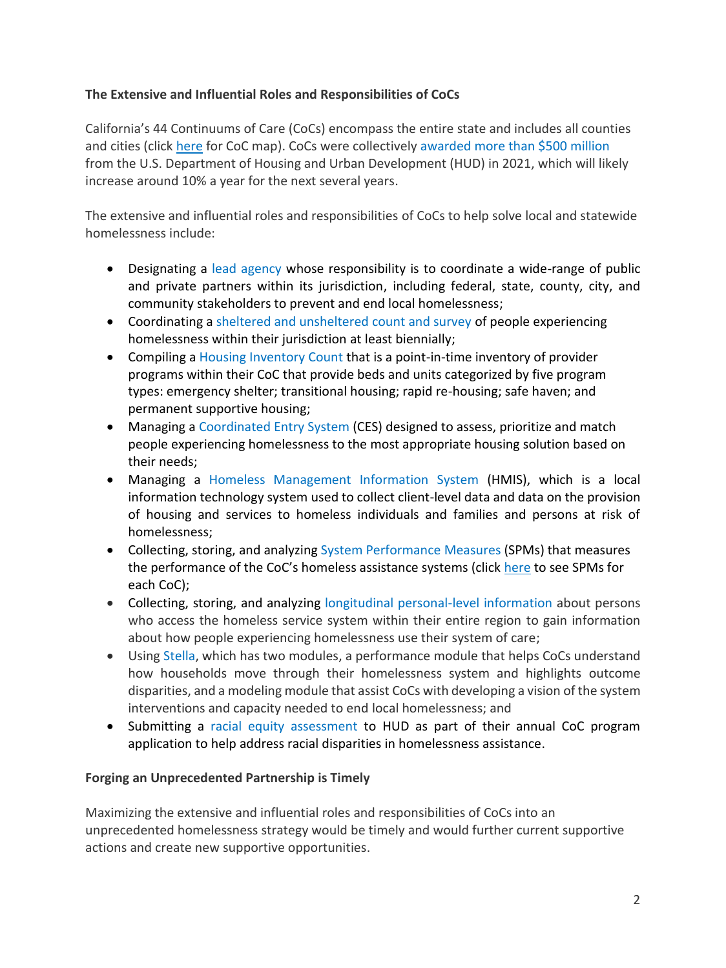## **The Extensive and Influential Roles and Responsibilities of CoCs**

California's 44 Continuums of Care (CoCs) encompass the entire state and includes all counties and cities (click here for CoC map). CoCs were collectively awarded more than \$500 million from the U.S. Department of Housing and Urban Development (HUD) in 2021, which will likely increase around 10% a year for the next several years.

The extensive and influential roles and responsibilities of CoCs to help solve local and statewide homelessness include:

- Designating a lead agency whose responsibility is to coordinate a wide-range of public and private partners within its jurisdiction, including federal, state, county, city, and community stakeholders to prevent and end local homelessness;
- Coordinating a sheltered and unsheltered count and survey of people experiencing homelessness within their jurisdiction at least biennially;
- Compiling a Housing Inventory Count that is a point-in-time inventory of provider programs within their CoC that provide beds and units categorized by five program types: emergency shelter; transitional housing; rapid re-housing; safe haven; and permanent supportive housing;
- Managing a Coordinated Entry System (CES) designed to assess, prioritize and match people experiencing homelessness to the most appropriate housing solution based on their needs;
- Managing a Homeless Management Information System (HMIS), which is a local information technology system used to collect client-level data and data on the provision of housing and services to homeless individuals and families and persons at risk of homelessness;
- Collecting, storing, and analyzing System Performance Measures (SPMs) that measures the performance of the CoC's homeless assistance systems (click here to see SPMs for each CoC);
- Collecting, storing, and analyzing longitudinal personal-level information about persons who access the homeless service system within their entire region to gain information about how people experiencing homelessness use their system of care;
- Using Stella, which has two modules, a performance module that helps CoCs understand how households move through their homelessness system and highlights outcome disparities, and a modeling module that assist CoCs with developing a vision of the system interventions and capacity needed to end local homelessness; and
- Submitting a racial equity assessment to HUD as part of their annual CoC program application to help address racial disparities in homelessness assistance.

## **Forging an Unprecedented Partnership is Timely**

Maximizing the extensive and influential roles and responsibilities of CoCs into an unprecedented homelessness strategy would be timely and would further current supportive actions and create new supportive opportunities.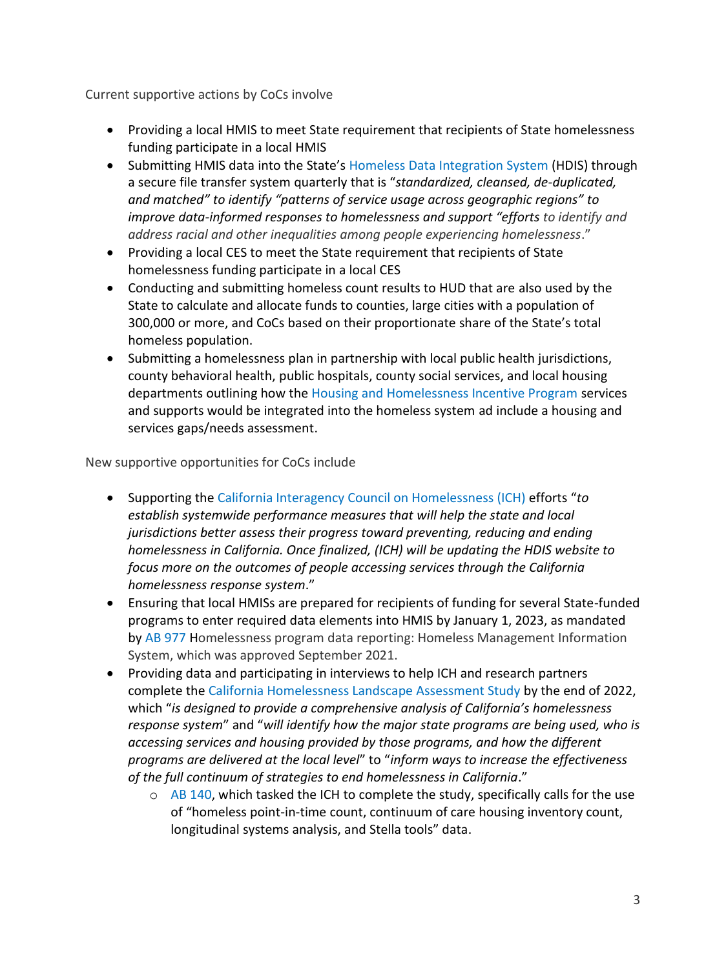Current supportive actions by CoCs involve

- Providing a local HMIS to meet State requirement that recipients of State homelessness funding participate in a local HMIS
- Submitting HMIS data into the State's Homeless Data Integration System (HDIS) through a secure file transfer system quarterly that is "*standardized, cleansed, de-duplicated, and matched" to identify "patterns of service usage across geographic regions" to improve data-informed responses to homelessness and support "efforts to identify and address racial and other inequalities among people experiencing homelessness*."
- Providing a local CES to meet the State requirement that recipients of State homelessness funding participate in a local CES
- Conducting and submitting homeless count results to HUD that are also used by the State to calculate and allocate funds to counties, large cities with a population of 300,000 or more, and CoCs based on their proportionate share of the State's total homeless population.
- Submitting a homelessness plan in partnership with local public health jurisdictions, county behavioral health, public hospitals, county social services, and local housing departments outlining how the Housing and Homelessness Incentive Program services and supports would be integrated into the homeless system ad include a housing and services gaps/needs assessment.

New supportive opportunities for CoCs include

- Supporting the California Interagency Council on Homelessness (ICH) efforts "*to establish systemwide performance measures that will help the state and local jurisdictions better assess their progress toward preventing, reducing and ending homelessness in California. Once finalized, (ICH) will be updating the HDIS website to focus more on the outcomes of people accessing services through the California homelessness response system*."
- Ensuring that local HMISs are prepared for recipients of funding for several State-funded programs to enter required data elements into HMIS by January 1, 2023, as mandated by AB 977 Homelessness program data reporting: Homeless Management Information System, which was approved September 2021.
- Providing data and participating in interviews to help ICH and research partners complete the California Homelessness Landscape Assessment Study by the end of 2022, which "*is designed to provide a comprehensive analysis of California's homelessness response system*" and "*will identify how the major state programs are being used, who is accessing services and housing provided by those programs, and how the different programs are delivered at the local level*" to "*inform ways to increase the effectiveness of the full continuum of strategies to end homelessness in California*."
	- $\circ$  AB 140, which tasked the ICH to complete the study, specifically calls for the use of "homeless point-in-time count, continuum of care housing inventory count, longitudinal systems analysis, and Stella tools" data.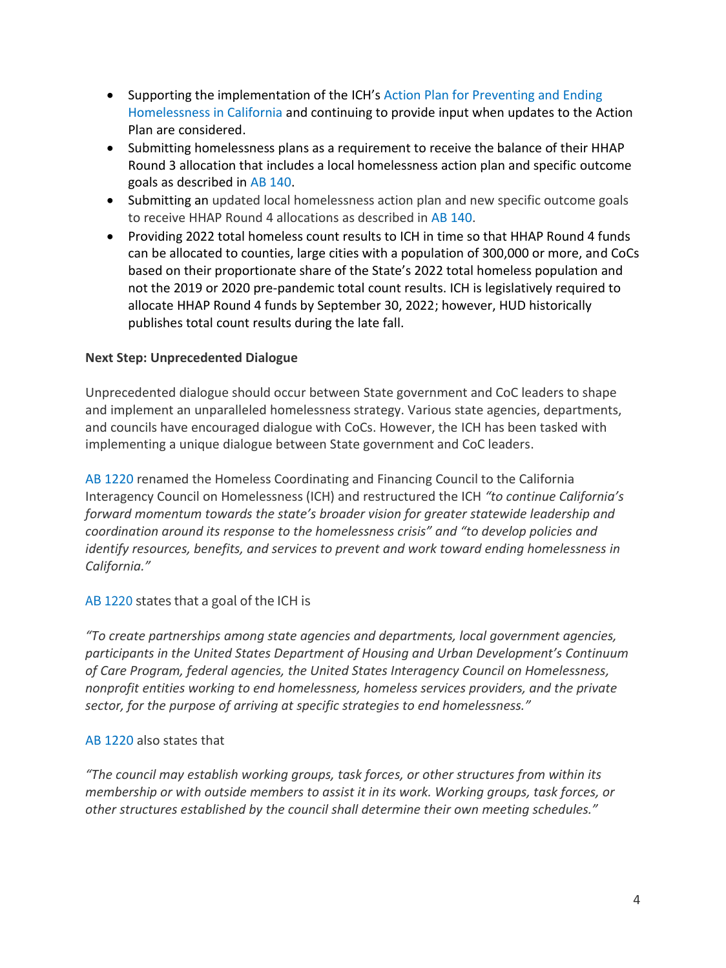- Supporting the implementation of the ICH's Action Plan for Preventing and Ending Homelessness in California and continuing to provide input when updates to the Action Plan are considered.
- Submitting homelessness plans as a requirement to receive the balance of their HHAP Round 3 allocation that includes a local homelessness action plan and specific outcome goals as described in AB 140.
- Submitting an updated local homelessness action plan and new specific outcome goals to receive HHAP Round 4 allocations as described in AB 140.
- Providing 2022 total homeless count results to ICH in time so that HHAP Round 4 funds can be allocated to counties, large cities with a population of 300,000 or more, and CoCs based on their proportionate share of the State's 2022 total homeless population and not the 2019 or 2020 pre-pandemic total count results. ICH is legislatively required to allocate HHAP Round 4 funds by September 30, 2022; however, HUD historically publishes total count results during the late fall.

## **Next Step: Unprecedented Dialogue**

Unprecedented dialogue should occur between State government and CoC leaders to shape and implement an unparalleled homelessness strategy. Various state agencies, departments, and councils have encouraged dialogue with CoCs. However, the ICH has been tasked with implementing a unique dialogue between State government and CoC leaders.

AB 1220 renamed the Homeless Coordinating and Financing Council to the California Interagency Council on Homelessness (ICH) and restructured the ICH *"to continue California's forward momentum towards the state's broader vision for greater statewide leadership and coordination around its response to the homelessness crisis" and "to develop policies and identify resources, benefits, and services to prevent and work toward ending homelessness in California."*

### AB 1220 states that a goal of the ICH is

*"To create partnerships among state agencies and departments, local government agencies, participants in the United States Department of Housing and Urban Development's Continuum of Care Program, federal agencies, the United States Interagency Council on Homelessness, nonprofit entities working to end homelessness, homeless services providers, and the private sector, for the purpose of arriving at specific strategies to end homelessness."*

### AB 1220 also states that

*"The council may establish working groups, task forces, or other structures from within its membership or with outside members to assist it in its work. Working groups, task forces, or other structures established by the council shall determine their own meeting schedules."*